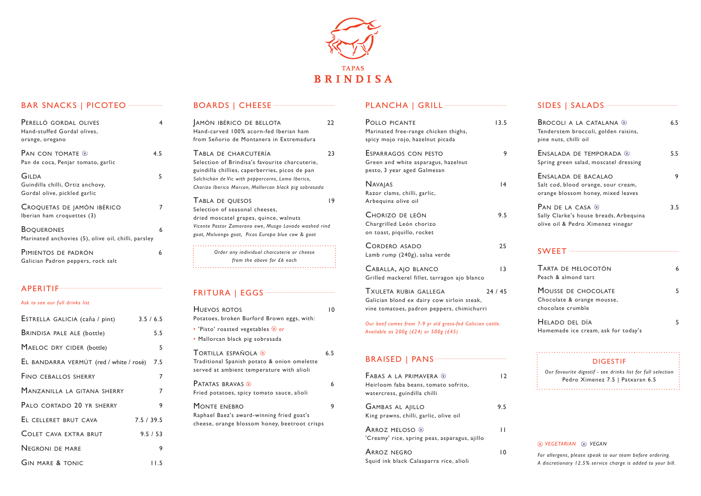

# BAR SNACKS | PICOTEO ···························

| PERELLÓ GORDAL OLIVES<br>Hand-stuffed Gordal olives,<br>orange, oregano          | 4  |
|----------------------------------------------------------------------------------|----|
| PAN CON TOMATE $\mathcal{D}$<br>Pan de coca, Penjar tomato, garlic               | 45 |
| <b>GILDA</b><br>Guindilla chilli, Ortiz anchovy,<br>Gordal olive, pickled garlic | 5  |
| CROQUETAS DE JAMÓN IBÉRICO<br>Iberian ham croquettes (3)                         |    |
| <b>BOQUERONES</b><br>Marinated anchovies (5), olive oil, chilli, parsley         | 6  |
| PIMIENTOS DE PADRÓN<br>Galician Padron peppers, rock salt                        | 6  |

## APERITIF

#### *Ask to see our full drinks list*

| ESTRELLA GALICIA (caña / pint)          | 3.5 / 6.5  |
|-----------------------------------------|------------|
| BRINDISA PALE ALE (bottle)              | 5.5        |
| MAELOC DRY CIDER (bottle)               | 5          |
| EL BANDARRA VERMÚT (red / white / rosé) | 7.5        |
| <b>FINO CEBALLOS SHERRY</b>             | 7          |
| MANZANILLA LA GITANA SHERRY             | 7          |
| PALO CORTADO 20 YR SHERRY               | 9          |
| EL CELLERET BRUT CAVA                   | 7.5 / 39.5 |
| COLET CAVA EXTRA BRUT                   | 9.5 / 53   |
| <b>NEGRONI DE MARE</b>                  | 9          |
| <b>GIN MARE &amp; TONIC</b>             | I I.5      |

# BOARDS | CHEESE ·········

| AMÓN IBÉRICO DE BELLOTA<br>Hand-carved 100% acorn-fed Iberian ham<br>from Señorio de Montanera in Extremadura                                                                                                                          | 22 |
|----------------------------------------------------------------------------------------------------------------------------------------------------------------------------------------------------------------------------------------|----|
| TABLA DE CHARCUTERÍA<br>Selection of Brindisa's favourite charcuterie,<br>guindilla chillies, caperberries, picos de pan<br>Salchichón de Vic with peppercorns, Lomo Iberico,<br>Chorizo Iberico Morcon, Mallorcan black pig sobrasada | 23 |
| TABLA DE QUESOS<br>Selection of seasonal cheeses,<br>dried moscatel grapes, quince, walnuts<br>Vicente Pastor Zamorano ewe, Musgo Lavado washed rind<br>goat, Moluengo goat, Picos Europa blue cow & goat<br>.                         | ۱9 |
| Order any individual charcuterie or cheese<br>from the above for £6 each                                                                                                                                                               |    |

# FRITURA | EGGS ···

'Creamy' rice, spring peas, asparagus, ajillo ARROZ NEGRO 10

| HUEVOS ROTOS<br>Potatoes, broken Burford Brown eggs, with:                                                      | ۱0  |
|-----------------------------------------------------------------------------------------------------------------|-----|
| • 'Pisto' roasted vegetables $\mathcal{V}$ or<br>• Mallorcan black pig sobrasada                                |     |
| TORTILLA ESPAÑOLA ®<br>Traditional Spanish potato & onion omelette<br>served at ambient temperature with alioli | 6.5 |
| <b>PATATAS BRAVAS W</b><br>Fried potatoes, spicy tomato sauce, alioli                                           | 6   |
| MONTE ENEBRO<br>Raphael Baez's award-winning fried goat's<br>cheese, orange blossom honey, beetroot crisps      | 9   |
|                                                                                                                 |     |

# PLANCHA | GRILL<sup>......</sup>

| POLLO PICANTE<br>Marinated free-range chicken thighs,<br>spicy mojo rojo, hazelnut picada                         | 13.5        |
|-------------------------------------------------------------------------------------------------------------------|-------------|
| ESPARRAGOS CON PESTO<br>Green and white asparagus, hazelnut<br>pesto, 3 year aged Galmesan                        | 9           |
| <b>NAVAJAS</b><br>Razor clams, chilli, garlic,<br>Arbequina olive oil                                             | 14          |
| CHORIZO DE LEÓN<br>Chargrilled León chorizo<br>on toast, piquillo, rocket                                         | 9.5         |
| CORDERO ASADO<br>Lamb rump (240g), salsa verde                                                                    | 25          |
| CABALLA, AJO BLANCO<br>Grilled mackerel fillet, tarragon ajo blanco                                               | 13          |
| TXULETA RUBIA GALLEGA<br>Galician blond ex dairy cow sirloin steak,<br>vine tomatoes, padron peppers, chimichurri | 24/45       |
| Our beef comes from 7-9 yr old grass-fed Galician cattle.<br>Available as $200g$ (£24) or $500g$ (£45)            |             |
|                                                                                                                   |             |
| FABAS A LA PRIMAVERA $\mathcal{D}$<br>Heirloom faba beans, tomato sofrito,<br>watercress, guindilla chilli        | $ 2\rangle$ |
| <b>GAMBAS AL AJILLO</b><br>King prawns, chilli, garlic, olive oil                                                 | 9.5         |

ARROZ MELOSO <sup>11</sup>

Squid ink black Calasparra rice, alioli

| <b>BROCOLI A LA CATALANA W</b><br>Tenderstem broccoli, golden raisins,<br>pine nuts, chilli oil             | 6.5 |
|-------------------------------------------------------------------------------------------------------------|-----|
| ENSALADA DE TEMPORADA ®<br>Spring green salad, moscatel dressing                                            | 5.5 |
| ENSALADA DE BACALAO<br>Salt cod, blood orange, sour cream,<br>orange blossom honey, mixed leaves            | 9   |
| PAN DE LA CASA $\mathcal{D}$<br>Sally Clarke's house breads, Arbequina<br>olive oil & Pedro Ximenez vinegar | 3.5 |
|                                                                                                             |     |
| TARTA DE MELOCOTÓN<br>Peach & almond tart                                                                   | 6   |
| MOUSSE DE CHOCOLATE<br>Chocolate & orange mousse,<br>chocolate crumble                                      | 5   |
| HELADO DEL DÍA<br>Homemade ice cream, ask for today's                                                       | 5   |
|                                                                                                             |     |

#### *vegetarian vegan*

*For allergens, please speak to our team before ordering. A discretionary 12.5% service charge is added to your bill.*

### DIGESTIF

*Our favourite digestif - see drinks list for full selection* Pedro Ximenez 7.5 | Patxaran 6.5